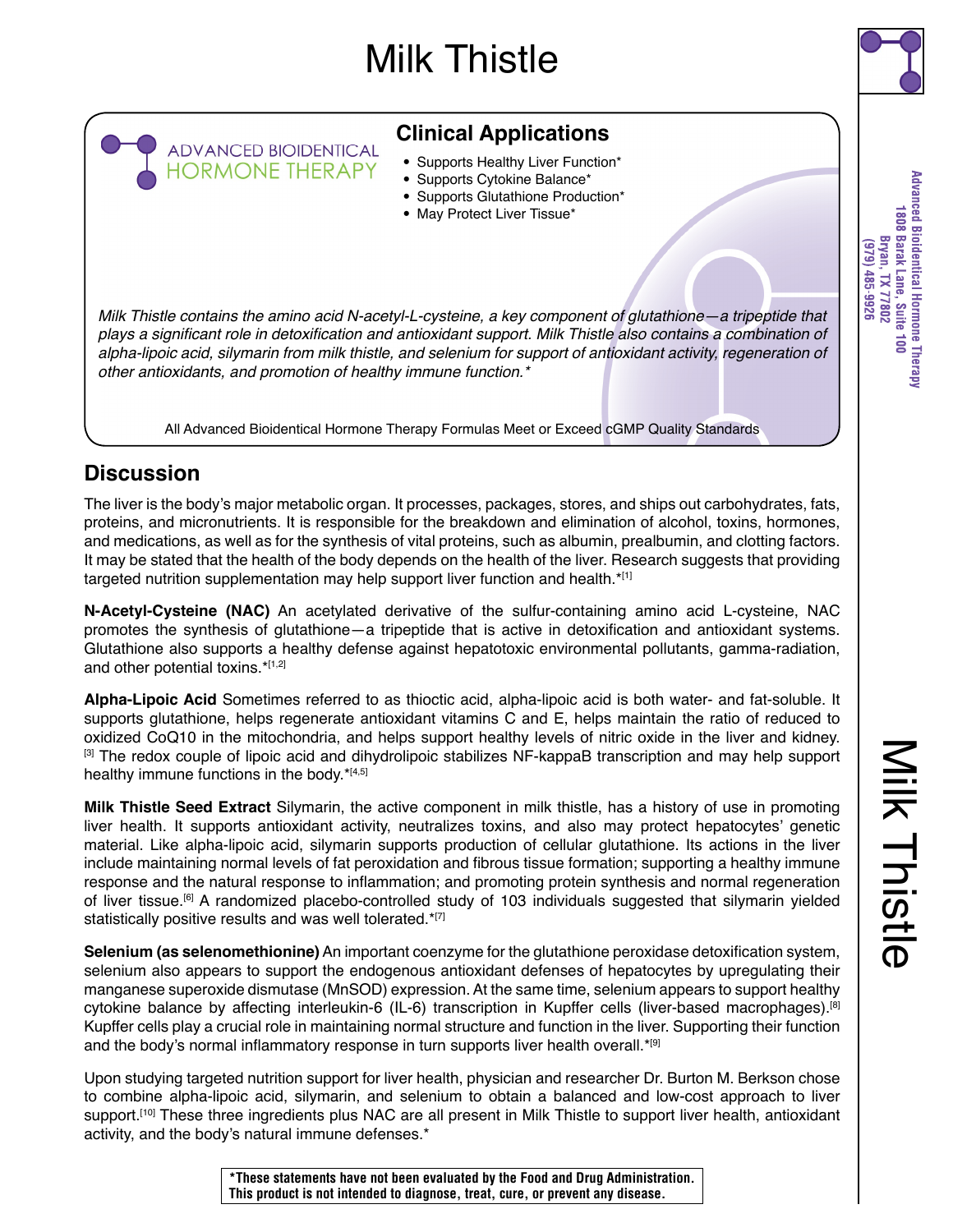# Milk Thistle



## **Clinical Applications**

- Supports Healthy Liver Function\*
- Supports Cytokine Balance\*
- Supports Glutathione Production\*
- May Protect Liver Tissue\*

*Milk Thistle contains the amino acid N-acetyl-L-cysteine, a key component of glutathione—a tripeptide that*  plays a significant role in detoxification and antioxidant support. Milk Thistle also contains a combination of alpha-lipoic acid, silymarin from milk thistle, and selenium for support of antioxidant activity, regeneration of other antioxidants, and promotion of healthy immune function.\*

All Advanced Bioidentical Hormone Therapy Formulas Meet or Exceed cGMP Quality Standards

### **Discussion**

ADVANCED BIOIDENTICAL<br>HORMONE THERAPY

The liver is the body's major metabolic organ. It processes, packages, stores, and ships out carbohydrates, fats, proteins, and micronutrients. It is responsible for the breakdown and elimination of alcohol, toxins, hormones, and medications, as well as for the synthesis of vital proteins, such as albumin, prealbumin, and clotting factors. It may be stated that the health of the body depends on the health of the liver. Research suggests that providing targeted nutrition supplementation may help support liver function and health. $*$ <sup>[1]</sup>

**N-Acetyl-Cysteine (NAC)** An acetylated derivative of the sulfur-containing amino acid L-cysteine, NAC promotes the synthesis of glutathione—a tripeptide that is active in detoxification and antioxidant systems. Glutathione also supports a healthy defense against hepatotoxic environmental pollutants, gamma-radiation, and other potential toxins.\*[1,2]

**Alpha-Lipoic Acid** Sometimes referred to as thioctic acid, alpha-lipoic acid is both water- and fat-soluble. It supports glutathione, helps regenerate antioxidant vitamins C and E, helps maintain the ratio of reduced to oxidized CoQ10 in the mitochondria, and helps support healthy levels of nitric oxide in the liver and kidney. [3] The redox couple of lipoic acid and dihydrolipoic stabilizes NF-kappaB transcription and may help support healthy immune functions in the body.\*[4,5]

**Milk Thistle Seed Extract** Silymarin, the active component in milk thistle, has a history of use in promoting liver health. It supports antioxidant activity, neutralizes toxins, and also may protect hepatocytes' genetic material. Like alpha-lipoic acid, silymarin supports production of cellular glutathione. Its actions in the liver include maintaining normal levels of fat peroxidation and fibrous tissue formation; supporting a healthy immune response and the natural response to inflammation; and promoting protein synthesis and normal regeneration of liver tissue.[6] A randomized placebo-controlled study of 103 individuals suggested that silymarin yielded statistically positive results and was well tolerated.\*[7]

**Selenium (as selenomethionine)** An important coenzyme for the glutathione peroxidase detoxification system, selenium also appears to support the endogenous antioxidant defenses of hepatocytes by upregulating their manganese superoxide dismutase (MnSOD) expression. At the same time, selenium appears to support healthy cytokine balance by affecting interleukin-6 (IL-6) transcription in Kupffer cells (liver-based macrophages).<sup>[8]</sup> Kupffer cells play a crucial role in maintaining normal structure and function in the liver. Supporting their function and the body's normal inflammatory response in turn supports liver health overall.\*[9]

Upon studying targeted nutrition support for liver health, physician and researcher Dr. Burton M. Berkson chose to combine alpha-lipoic acid, silymarin, and selenium to obtain a balanced and low-cost approach to liver support.<sup>[10]</sup> These three ingredients plus NAC are all present in Milk Thistle to support liver health, antioxidant activity, and the body's natural immune defenses.\*

Milk Thistle

Milk Thistle

**\*These statements have not been evaluated by the Food and Drug Administration. This product is not intended to diagnose, treat, cure, or prevent any disease.**